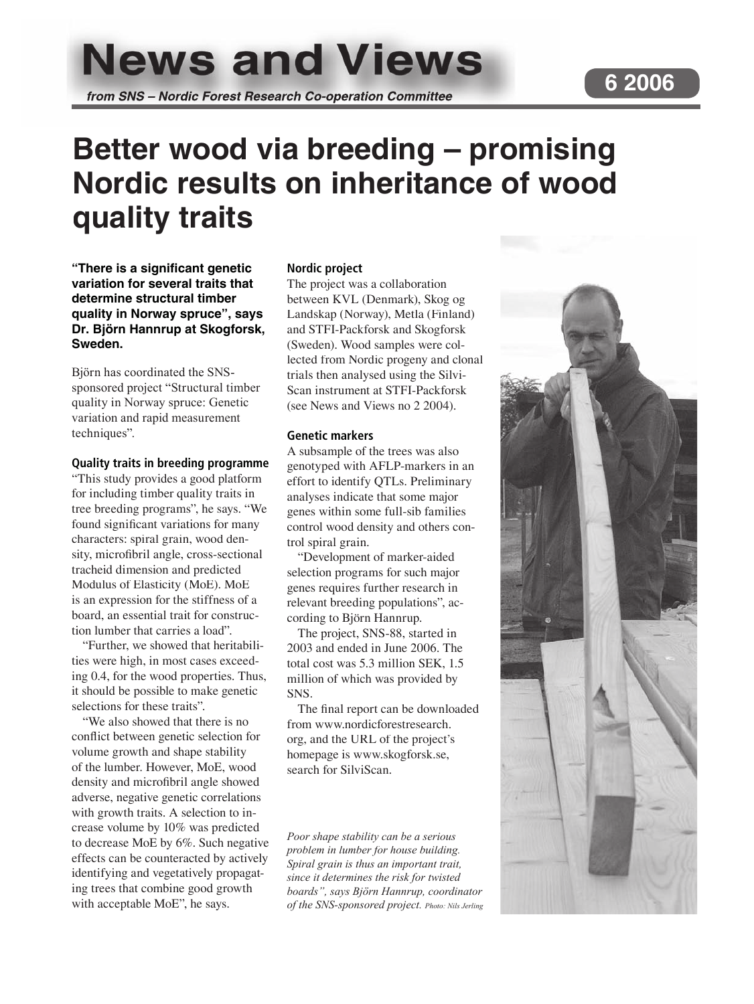### **6 2006**

**News and Views** 

**from SNS – Nordic Forest Research Co-operation Committee**

# **Better wood via breeding – promising Nordic results on inheritance of wood quality traits**

**"There is a significant genetic variation for several traits that determine structural timber quality in Norway spruce", says Dr. Björn Hannrup at Skogforsk, Sweden.** 

Björn has coordinated the SNSsponsored project "Structural timber quality in Norway spruce: Genetic variation and rapid measurement techniques".

#### **Quality traits in breeding programme**

"This study provides a good platform for including timber quality traits in tree breeding programs", he says. "We found significant variations for many characters: spiral grain, wood density, microfibril angle, cross-sectional tracheid dimension and predicted Modulus of Elasticity (MoE). MoE is an expression for the stiffness of a board, an essential trait for construction lumber that carries a load".

 "Further, we showed that heritabilities were high, in most cases exceeding 0.4, for the wood properties. Thus, it should be possible to make genetic selections for these traits".

"We also showed that there is no conflict between genetic selection for volume growth and shape stability of the lumber. However, MoE, wood density and microfibril angle showed adverse, negative genetic correlations with growth traits. A selection to increase volume by 10% was predicted to decrease MoE by 6%. Such negative effects can be counteracted by actively identifying and vegetatively propagating trees that combine good growth with acceptable MoE", he says.

#### **Nordic project**

The project was a collaboration between KVL (Denmark), Skog og Landskap (Norway), Metla (Finland) and STFI-Packforsk and Skogforsk (Sweden). Wood samples were collected from Nordic progeny and clonal trials then analysed using the Silvi-Scan instrument at STFI-Packforsk (see News and Views no 2 2004).

#### **Genetic markers**

A subsample of the trees was also genotyped with AFLP-markers in an effort to identify QTLs. Preliminary analyses indicate that some major genes within some full-sib families control wood density and others control spiral grain.

 "Development of marker-aided selection programs for such major genes requires further research in relevant breeding populations", according to Björn Hannrup.

 The project, SNS-88, started in 2003 and ended in June 2006. The total cost was 5.3 million SEK, 1.5 million of which was provided by SNS.

The final report can be downloaded from www.nordicforestresearch. org, and the URL of the project's homepage is www.skogforsk.se, search for SilviScan.

*Poor shape stability can be a serious problem in lumber for house building. Spiral grain is thus an important trait, since it determines the risk for twisted boards", says Björn Hannrup, coordinator of the SNS-sponsored project. Photo: Nils Jerling*

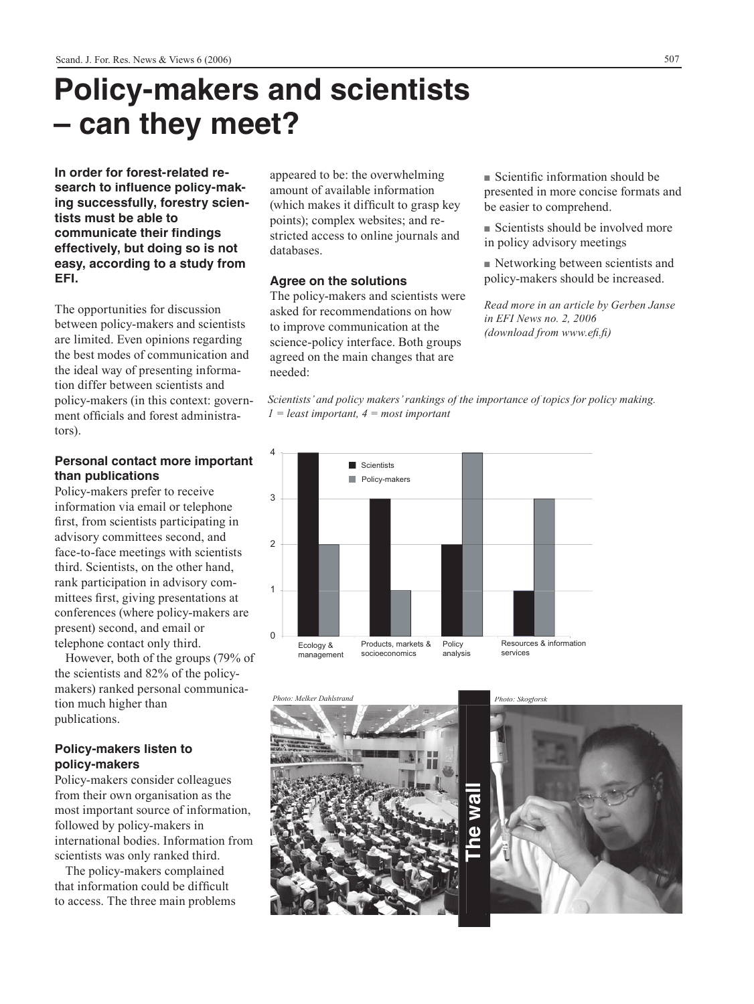## **Policy-makers and scientists – can they meet?**

**In order for forest-related re**search to influence policy-mak**ing successfully, forestry scientists must be able to communicate their fi ndings effectively, but doing so is not easy, according to a study from EFI.**

The opportunities for discussion between policy-makers and scientists are limited. Even opinions regarding the best modes of communication and the ideal way of presenting information differ between scientists and policy-makers (in this context: government officials and forest administrators).

#### **Personal contact more important than publications**

Policy-makers prefer to receive information via email or telephone first, from scientists participating in advisory committees second, and face-to-face meetings with scientists third. Scientists, on the other hand, rank participation in advisory committees first, giving presentations at conferences (where policy-makers are present) second, and email or telephone contact only third.

 However, both of the groups (79% of the scientists and 82% of the policymakers) ranked personal communication much higher than publications.

#### **Policy-makers listen to policy-makers**

Policy-makers consider colleagues from their own organisation as the most important source of information, followed by policy-makers in international bodies. Information from scientists was only ranked third.

 The policy-makers complained that information could be difficult to access. The three main problems appeared to be: the overwhelming amount of available information (which makes it difficult to grasp key points); complex websites; and restricted access to online journals and databases.

#### **Agree on the solutions**

The policy-makers and scientists were asked for recommendations on how to improve communication at the science-policy interface. Both groups agreed on the main changes that are needed:

 $\blacksquare$  Scientific information should be presented in more concise formats and be easier to comprehend.

■ Scientists should be involved more in policy advisory meetings

Networking between scientists and policy-makers should be increased.

*Read more in an article by Gerben Janse in EFI News no. 2, 2006 (download from www.efi .fi )*





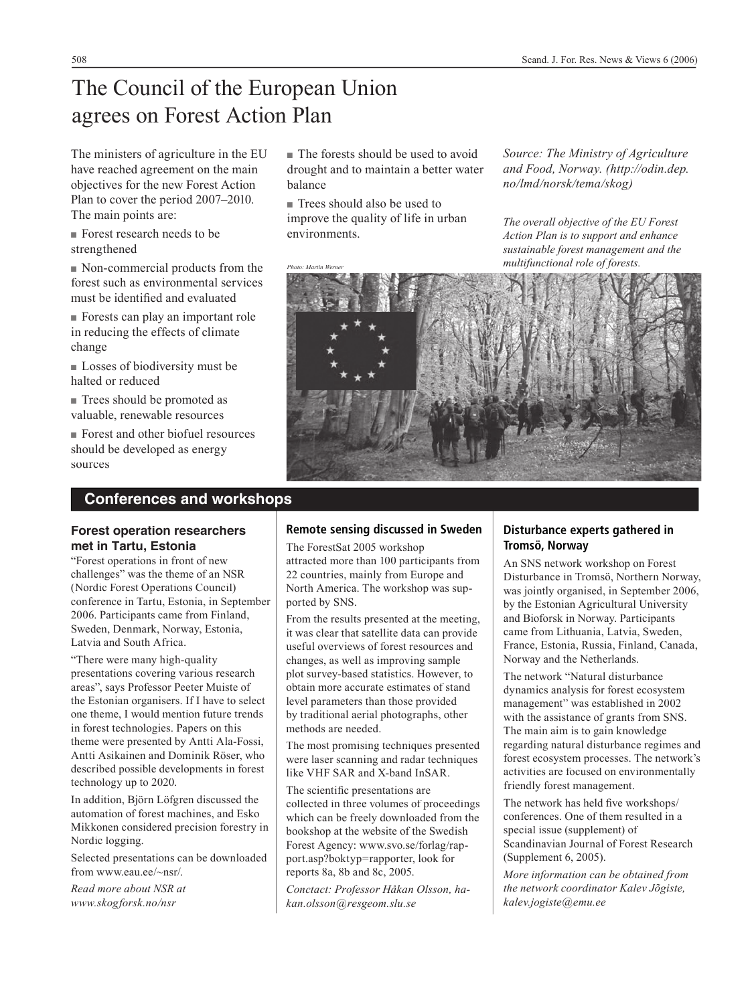## The Council of the European Union agrees on Forest Action Plan

The ministers of agriculture in the EU have reached agreement on the main objectives for the new Forest Action Plan to cover the period 2007–2010. The main points are:

■ Forest research needs to be strengthened

 Non-commercial products from the forest such as environmental services must be identified and evaluated

 $\blacksquare$  Forests can play an important role in reducing the effects of climate change

**Losses of biodiversity must be** halted or reduced

■ Trees should be promoted as valuable, renewable resources

■ Forest and other biofuel resources should be developed as energy sources

#### **Conferences and workshops**

#### **Forest operation researchers met in Tartu, Estonia**

"Forest operations in front of new challenges" was the theme of an NSR (Nordic Forest Operations Council) conference in Tartu, Estonia, in September 2006. Participants came from Finland, Sweden, Denmark, Norway, Estonia, Latvia and South Africa.

"There were many high-quality presentations covering various research areas", says Professor Peeter Muiste of the Estonian organisers. If I have to select one theme, I would mention future trends in forest technologies. Papers on this theme were presented by Antti Ala-Fossi, Antti Asikainen and Dominik Röser, who described possible developments in forest technology up to 2020.

In addition, Björn Löfgren discussed the automation of forest machines, and Esko Mikkonen considered precision forestry in Nordic logging.

Selected presentations can be downloaded from www.eau.ee/~nsr/.

*Read more about NSR at www.skogforsk.no/nsr*

The forests should be used to avoid drought and to maintain a better water balance

Trees should also be used to improve the quality of life in urban environments.

*Source: The Ministry of Agriculture and Food, Norway. (http://odin.dep. no/lmd/norsk/tema/skog)*

*The overall objective of the EU Forest Action Plan is to support and enhance sustainable forest management and the multifunctional role of forests.* 



#### **Remote sensing discussed in Sweden**

The ForestSat 2005 workshop attracted more than 100 participants from 22 countries, mainly from Europe and North America. The workshop was supported by SNS.

From the results presented at the meeting, it was clear that satellite data can provide useful overviews of forest resources and changes, as well as improving sample plot survey-based statistics. However, to obtain more accurate estimates of stand level parameters than those provided by traditional aerial photographs, other methods are needed.

The most promising techniques presented were laser scanning and radar techniques like VHF SAR and X-band InSAR.

The scientific presentations are collected in three volumes of proceedings which can be freely downloaded from the bookshop at the website of the Swedish Forest Agency: www.svo.se/forlag/rapport.asp?boktyp=rapporter, look for reports 8a, 8b and 8c, 2005.

*Conctact: Professor Håkan Olsson, hakan.olsson@resgeom.slu.se*

#### **Disturbance experts gathered in Tromsö, Norway**

An SNS network workshop on Forest Disturbance in Tromsö, Northern Norway, was jointly organised, in September 2006, by the Estonian Agricultural University and Bioforsk in Norway. Participants came from Lithuania, Latvia, Sweden, France, Estonia, Russia, Finland, Canada, Norway and the Netherlands.

The network "Natural disturbance dynamics analysis for forest ecosystem management" was established in 2002 with the assistance of grants from SNS. The main aim is to gain knowledge regarding natural disturbance regimes and forest ecosystem processes. The network's activities are focused on environmentally friendly forest management.

The network has held five workshops/ conferences. One of them resulted in a special issue (supplement) of Scandinavian Journal of Forest Research (Supplement 6, 2005).

*More information can be obtained from the network coordinator Kalev Jõgiste, kalev.jogiste@emu.ee*